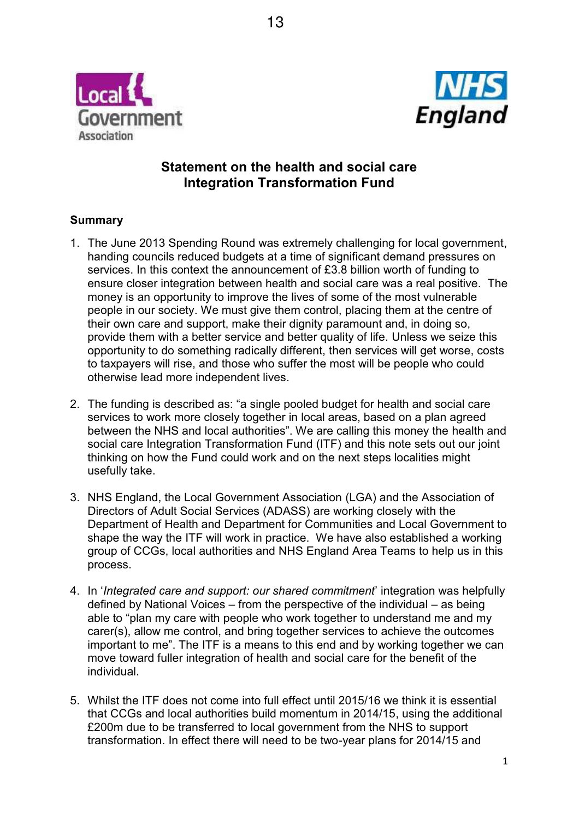



# **Statement on the health and social care Integration Transformation Fund**

### **Summary**

- 1. The June 2013 Spending Round was extremely challenging for local government, handing councils reduced budgets at a time of significant demand pressures on services. In this context the announcement of £3.8 billion worth of funding to ensure closer integration between health and social care was a real positive. The money is an opportunity to improve the lives of some of the most vulnerable people in our society. We must give them control, placing them at the centre of their own care and support, make their dignity paramount and, in doing so, provide them with a better service and better quality of life. Unless we seize this opportunity to do something radically different, then services will get worse, costs to taxpayers will rise, and those who suffer the most will be people who could otherwise lead more independent lives.
- 2. The funding is described as: "a single pooled budget for health and social care services to work more closely together in local areas, based on a plan agreed between the NHS and local authorities". We are calling this money the health and social care Integration Transformation Fund (ITF) and this note sets out our joint thinking on how the Fund could work and on the next steps localities might usefully take.
- 3. NHS England, the Local Government Association (LGA) and the Association of Directors of Adult Social Services (ADASS) are working closely with the Department of Health and Department for Communities and Local Government to shape the way the ITF will work in practice. We have also established a working group of CCGs, local authorities and NHS England Area Teams to help us in this process.
- 4. In '*Integrated care and support: our shared commitment'* integration was helpfully defined by National Voices  $-$  from the perspective of the individual  $-$  as being able to "plan my care with people who work together to understand me and my carer(s), allow me control, and bring together services to achieve the outcomes important to me". The ITF is a means to this end and by working together we can move toward fuller integration of health and social care for the benefit of the individual.
- 5. Whilst the ITF does not come into full effect until 2015/16 we think it is essential that CCGs and local authorities build momentum in 2014/15, using the additional £200m due to be transferred to local government from the NHS to support transformation. In effect there will need to be two-year plans for 2014/15 and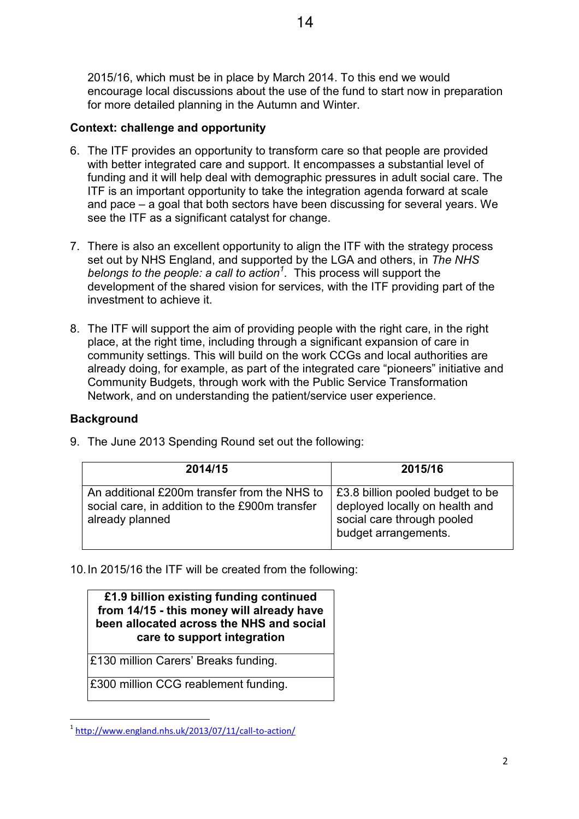2015/16, which must be in place by March 2014. To this end we would encourage local discussions about the use of the fund to start now in preparation for more detailed planning in the Autumn and Winter.

### **Context: challenge and opportunity**

- 6. The ITF provides an opportunity to transform care so that people are provided with better integrated care and support. It encompasses a substantial level of funding and it will help deal with demographic pressures in adult social care. The ITF is an important opportunity to take the integration agenda forward at scale and pace  $-\overline{a}$  goal that both sectors have been discussing for several years. We see the ITF as a significant catalyst for change.
- 7. There is also an excellent opportunity to align the ITF with the strategy process set out by NHS England, and supported by the LGA and others, in *The NHS belongs to the people: a call to action<sup>1</sup> .* This process will support the development of the shared vision for services, with the ITF providing part of the investment to achieve it.
- 8. The ITF will support the aim of providing people with the right care, in the right place, at the right time, including through a significant expansion of care in community settings. This will build on the work CCGs and local authorities are already doing, for example, as part of the integrated care "pioneers" initiative and Community Budgets, through work with the Public Service Transformation Network, and on understanding the patient/service user experience.

### **Background**

| 2014/15                                                                                                           | 2015/16                                                                                                                  |
|-------------------------------------------------------------------------------------------------------------------|--------------------------------------------------------------------------------------------------------------------------|
| An additional £200m transfer from the NHS to<br>social care, in addition to the £900m transfer<br>already planned | £3.8 billion pooled budget to be<br>deployed locally on health and<br>social care through pooled<br>budget arrangements. |

9. The June 2013 Spending Round set out the following:

10.In 2015/16 the ITF will be created from the following:

### **£1.9 billion existing funding continued from 14/15 - this money will already have been allocated across the NHS and social care to support integration**

£130 million Carers' Breaks funding.

£300 million CCG reablement funding.

<sup>&</sup>lt;sup>1</sup> http://www.england.nhs.uk/2013/07/11/call-to-action/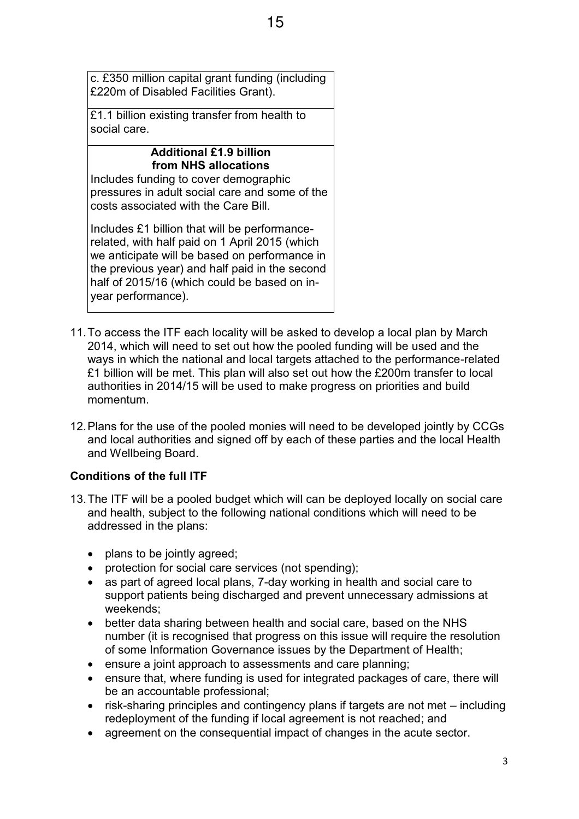c. £350 million capital grant funding (including £220m of Disabled Facilities Grant).

£1.1 billion existing transfer from health to social care.

# **Additional £1.9 billion from NHS allocations**

Includes funding to cover demographic pressures in adult social care and some of the costs associated with the Care Bill.

Includes £1 billion that will be performancerelated, with half paid on 1 April 2015 (which we anticipate will be based on performance in the previous year) and half paid in the second half of 2015/16 (which could be based on inyear performance).

- 11.To access the ITF each locality will be asked to develop a local plan by March 2014, which will need to set out how the pooled funding will be used and the ways in which the national and local targets attached to the performance-related £1 billion will be met. This plan will also set out how the £200m transfer to local authorities in 2014/15 will be used to make progress on priorities and build momentum.
- 12.Plans for the use of the pooled monies will need to be developed jointly by CCGs and local authorities and signed off by each of these parties and the local Health and Wellbeing Board.

## **Conditions of the full ITF**

- 13.The ITF will be a pooled budget which will can be deployed locally on social care and health, subject to the following national conditions which will need to be addressed in the plans:
	- $\bullet$  plans to be jointly agreed;
	- protection for social care services (not spending);
	- as part of agreed local plans, 7-day working in health and social care to support patients being discharged and prevent unnecessary admissions at weekends;
	- better data sharing between health and social care, based on the NHS number (it is recognised that progress on this issue will require the resolution of some Information Governance issues by the Department of Health;
	- ensure a joint approach to assessments and care planning;
	- ensure that, where funding is used for integrated packages of care, there will be an accountable professional;
	- $\bullet$  risk-sharing principles and contingency plans if targets are not met  $-$  including redeployment of the funding if local agreement is not reached; and
	- agreement on the consequential impact of changes in the acute sector.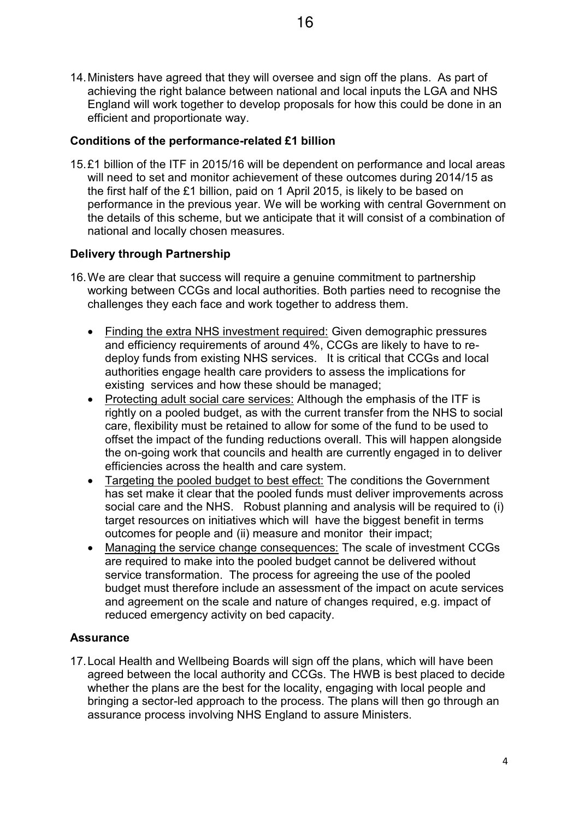14.Ministers have agreed that they will oversee and sign off the plans. As part of achieving the right balance between national and local inputs the LGA and NHS England will work together to develop proposals for how this could be done in an efficient and proportionate way.

#### **Conditions of the performance-related £1 billion**

15.£1 billion of the ITF in 2015/16 will be dependent on performance and local areas will need to set and monitor achievement of these outcomes during 2014/15 as the first half of the £1 billion, paid on 1 April 2015, is likely to be based on performance in the previous year. We will be working with central Government on the details of this scheme, but we anticipate that it will consist of a combination of national and locally chosen measures.

### **Delivery through Partnership**

- 16.We are clear that success will require a genuine commitment to partnership working between CCGs and local authorities. Both parties need to recognise the challenges they each face and work together to address them.
	- Finding the extra NHS investment required: Given demographic pressures and efficiency requirements of around 4%, CCGs are likely to have to redeploy funds from existing NHS services. It is critical that CCGs and local authorities engage health care providers to assess the implications for existing services and how these should be managed;
	- Protecting adult social care services: Although the emphasis of the ITF is rightly on a pooled budget, as with the current transfer from the NHS to social care, flexibility must be retained to allow for some of the fund to be used to offset the impact of the funding reductions overall. This will happen alongside the on-going work that councils and health are currently engaged in to deliver efficiencies across the health and care system.
	- Targeting the pooled budget to best effect: The conditions the Government has set make it clear that the pooled funds must deliver improvements across social care and the NHS. Robust planning and analysis will be required to (i) target resources on initiatives which will have the biggest benefit in terms outcomes for people and (ii) measure and monitor their impact;
	- Managing the service change consequences: The scale of investment CCGs are required to make into the pooled budget cannot be delivered without service transformation. The process for agreeing the use of the pooled budget must therefore include an assessment of the impact on acute services and agreement on the scale and nature of changes required, e.g. impact of reduced emergency activity on bed capacity.

### **Assurance**

17.Local Health and Wellbeing Boards will sign off the plans, which will have been agreed between the local authority and CCGs. The HWB is best placed to decide whether the plans are the best for the locality, engaging with local people and bringing a sector-led approach to the process. The plans will then go through an assurance process involving NHS England to assure Ministers.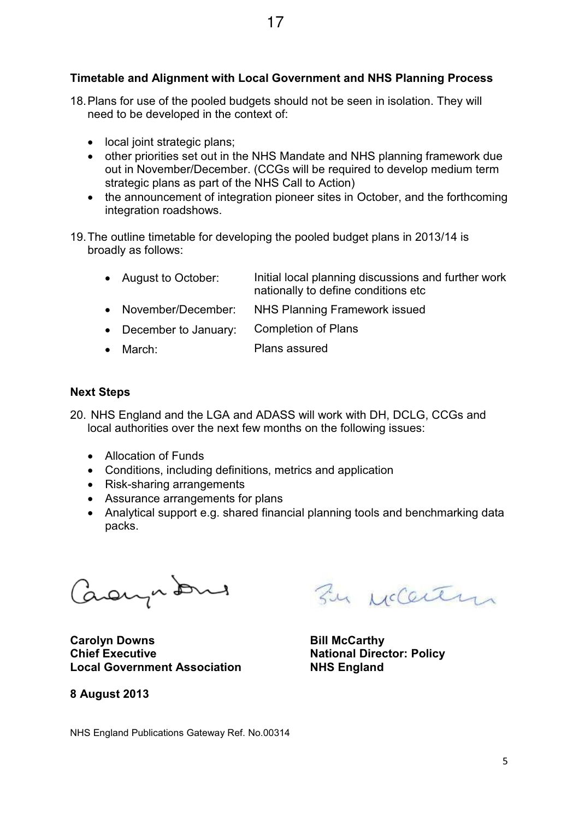## **Timetable and Alignment with Local Government and NHS Planning Process**

- 18.Plans for use of the pooled budgets should not be seen in isolation. They will need to be developed in the context of:
	- $\bullet$  local joint strategic plans;
	- other priorities set out in the NHS Mandate and NHS planning framework due out in November/December. (CCGs will be required to develop medium term strategic plans as part of the NHS Call to Action)
	- the announcement of integration pioneer sites in October, and the forthcoming integration roadshows.

19.The outline timetable for developing the pooled budget plans in 2013/14 is broadly as follows:

| • August to October:   | Initial local planning discussions and further work<br>nationally to define conditions etc |
|------------------------|--------------------------------------------------------------------------------------------|
| • November/December:   | NHS Planning Framework issued                                                              |
| • December to January: | Completion of Plans                                                                        |
|                        | Disposition and the second state of the                                                    |

• March: Plans assured

#### **Next Steps**

- 20. NHS England and the LGA and ADASS will work with DH, DCLG, CCGs and local authorities over the next few months on the following issues:
	- Allocation of Funds
	- Conditions, including definitions, metrics and application
	- Risk-sharing arrangements
	- Assurance arrangements for plans
	- Analytical support e.g. shared financial planning tools and benchmarking data packs.

Caonpons

**Carolyn Downs Bill McCarthy Chief Executive Chief Executive Chief Executive Actional Director: Policy Local Government Association NHS England** 

**8 August 2013** 

By McCenter

NHS England Publications Gateway Ref. No.00314